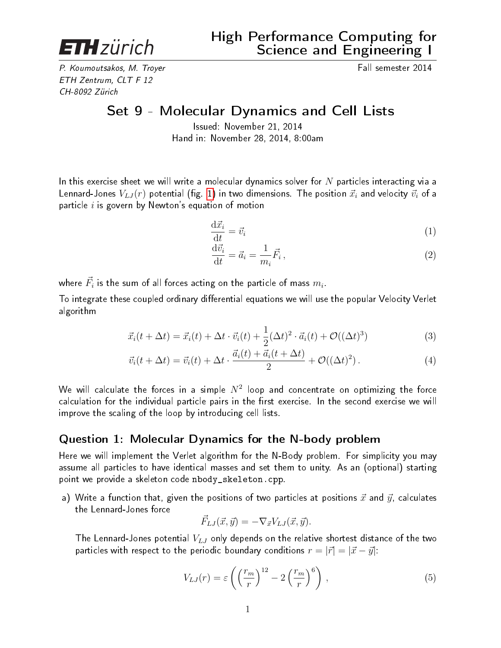**ETH**zürich

P. Koumoutsakos, M. Troyer Fall semester 2014 ETH Zentrum, CLT F 12 CH-8092 Zürich

Set 9 - Molecular Dynamics and Cell Lists

Issued: November 21, 2014 Hand in: November 28, 2014, 8:00am

In this exercise sheet we will write a molecular dynamics solver for  $N$  particles interacting via a Lennard-Jones  $V_{LJ}(r)$  potential (fig. [1\)](#page-1-0) in two dimensions. The position  $\vec{x}_i$  and velocity  $\vec{v}_i$  of a particle  $i$  is govern by Newton's equation of motion

$$
\frac{\mathrm{d}\vec{x}_i}{\mathrm{d}t} = \vec{v}_i \tag{1}
$$

$$
\frac{\mathrm{d}\vec{v_i}}{\mathrm{d}t} = \vec{a_i} = \frac{1}{m_i}\vec{F_i},\qquad(2)
$$

where  $\vec{F_i}$  is the sum of all forces acting on the particle of mass  $m_i.$ 

To integrate these coupled ordinary differential equations we will use the popular Velocity Verlet algorithm

$$
\vec{x}_i(t + \Delta t) = \vec{x}_i(t) + \Delta t \cdot \vec{v}_i(t) + \frac{1}{2} (\Delta t)^2 \cdot \vec{a}_i(t) + \mathcal{O}((\Delta t)^3)
$$
\n(3)

$$
\vec{v}_i(t + \Delta t) = \vec{v}_i(t) + \Delta t \cdot \frac{\vec{a}_i(t) + \vec{a}_i(t + \Delta t)}{2} + \mathcal{O}((\Delta t)^2).
$$
\n(4)

We will calculate the forces in a simple  $N^2$  loop and concentrate on optimizing the force calculation for the individual particle pairs in the first exercise. In the second exercise we will improve the scaling of the loop by introducing cell lists.

## Question 1: Molecular Dynamics for the N-body problem

Here we will implement the Verlet algorithm for the N-Body problem. For simplicity you may assume all particles to have identical masses and set them to unity. As an (optional) starting point we provide a skeleton code nbody\_skeleton.cpp.

a) Write a function that, given the positions of two particles at positions  $\vec{x}$  and  $\vec{y}$ , calculates the Lennard-Jones force

$$
\vec{F}_{LJ}(\vec{x}, \vec{y}) = -\nabla_{\vec{x}} V_{LJ}(\vec{x}, \vec{y}).
$$

The Lennard-Jones potential  $V_{LJ}$  only depends on the relative shortest distance of the two particles with respect to the periodic boundary conditions  $r = |\vec{r}| = |\vec{x} - \vec{y}|$ :

$$
V_{LJ}(r) = \varepsilon \left( \left(\frac{r_m}{r}\right)^{12} - 2\left(\frac{r_m}{r}\right)^6 \right),\tag{5}
$$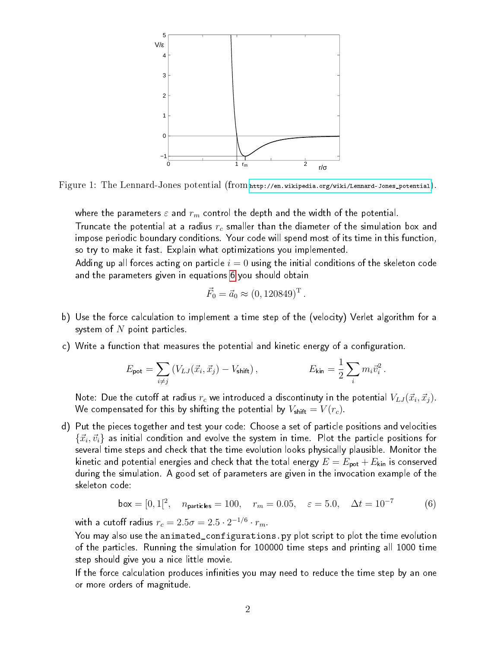<span id="page-1-0"></span>

Figure 1: The Lennard-Jones potential (from [http://en.wikipedia.org/wiki/Lennard-Jones\\_potential](http://en.wikipedia.org/wiki/Lennard-Jones_potential)).

where the parameters  $\varepsilon$  and  $r_m$  control the depth and the width of the potential.

Truncate the potential at a radius  $r_c$  smaller than the diameter of the simulation box and impose periodic boundary conditions. Your code will spend most of its time in this function, so try to make it fast. Explain what optimizations you implemented.

Adding up all forces acting on particle  $i = 0$  using the initial conditions of the skeleton code and the parameters given in equations [6](#page-1-1) you should obtain

$$
\vec{F}_0 = \vec{a}_0 \approx (0, 120849)^{\mathrm{T}}
$$

.

- b) Use the force calculation to implement a time step of the (velocity) Verlet algorithm for a system of  $N$  point particles.
- c) Write a function that measures the potential and kinetic energy of a configuration.

$$
E_{\text{pot}} = \sum_{i \neq j} \left( V_{LJ}(\vec{x}_i, \vec{x}_j) - V_{\text{shift}} \right), \qquad E_{\text{kin}} = \frac{1}{2} \sum_i m_i \vec{v}_i^2.
$$

Note: Due the cutoff at radius  $r_c$  we introduced a discontinuty in the potential  $V_{LJ}(\vec{x}_i, \vec{x}_j)$ . We compensated for this by shifting the potential by  $V_{\text{shift}} = V(r_c)$ .

d) Put the pieces together and test your code: Choose a set of particle positions and velocities  $\{\vec{x}_i,\vec{v}_i\}$  as initial condition and evolve the system in time. Plot the particle positions for several time steps and check that the time evolution looks physically plausible. Monitor the kinetic and potential energies and check that the total energy  $E = E_{\sf pot} + E_{\sf kin}$  is conserved during the simulation. A good set of parameters are given in the invocation example of the skeleton code:

<span id="page-1-1"></span>
$$
box = [0, 1]^2, \quad n_{\text{particles}} = 100, \quad r_m = 0.05, \quad \varepsilon = 5.0, \quad \Delta t = 10^{-7} \tag{6}
$$

with a cutoff radius  $r_c=2.5\sigma=2.5\cdot 2^{-1/6}\cdot r_m$ .

You may also use the animated\_configurations.py plot script to plot the time evolution of the particles. Running the simulation for 100000 time steps and printing all 1000 time step should give you a nice little movie.

If the force calculation produces infinities you may need to reduce the time step by an one or more orders of magnitude.